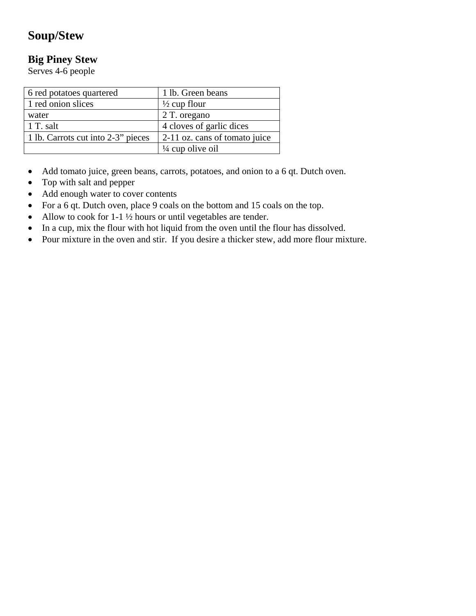# **Soup/Stew**

## **Big Piney Stew**

Serves 4-6 people

| 6 red potatoes quartered           | 1 lb. Green beans             |
|------------------------------------|-------------------------------|
| 1 red onion slices                 | $\frac{1}{2}$ cup flour       |
| water                              | 2 T. oregano                  |
| 1 T. salt                          | 4 cloves of garlic dices      |
| 1 lb. Carrots cut into 2-3" pieces | 2-11 oz. cans of tomato juice |
|                                    | $\frac{1}{4}$ cup olive oil   |

- Add tomato juice, green beans, carrots, potatoes, and onion to a 6 qt. Dutch oven.
- Top with salt and pepper
- Add enough water to cover contents
- For a 6 qt. Dutch oven, place 9 coals on the bottom and 15 coals on the top.
- Allow to cook for 1-1 ½ hours or until vegetables are tender.
- In a cup, mix the flour with hot liquid from the oven until the flour has dissolved.
- Pour mixture in the oven and stir. If you desire a thicker stew, add more flour mixture.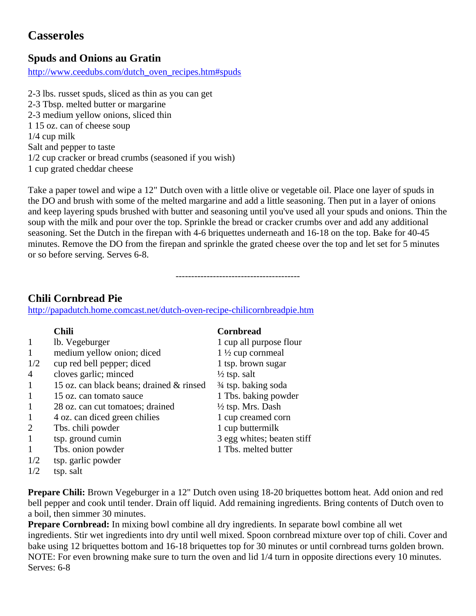# **Casseroles**

## **Spuds and Onions au Gratin**

http://www.ceedubs.com/dutch\_oven\_recipes.htm#spuds

2-3 lbs. russet spuds, sliced as thin as you can get 2-3 Tbsp. melted butter or margarine 2-3 medium yellow onions, sliced thin 1 15 oz. can of cheese soup 1/4 cup milk Salt and pepper to taste 1/2 cup cracker or bread crumbs (seasoned if you wish) 1 cup grated cheddar cheese

Take a paper towel and wipe a 12" Dutch oven with a little olive or vegetable oil. Place one layer of spuds in the DO and brush with some of the melted margarine and add a little seasoning. Then put in a layer of onions and keep layering spuds brushed with butter and seasoning until you've used all your spuds and onions. Thin the soup with the milk and pour over the top. Sprinkle the bread or cracker crumbs over and add any additional seasoning. Set the Dutch in the firepan with 4-6 briquettes underneath and 16-18 on the top. Bake for 40-45 minutes. Remove the DO from the firepan and sprinkle the grated cheese over the top and let set for 5 minutes or so before serving. Serves 6-8.

----------------------------------------

## **Chili Cornbread Pie**

<http://papadutch.home.comcast.net/dutch-oven-recipe-chilicornbreadpie.htm>

|              | <b>Chili</b>                             | <b>Cornbread</b>             |
|--------------|------------------------------------------|------------------------------|
| $\mathbf{1}$ | lb. Vegeburger                           | 1 cup all purpose flour      |
| 1            | medium yellow onion; diced               | $1\frac{1}{2}$ cup cornmeal  |
| 1/2          | cup red bell pepper; diced               | 1 tsp. brown sugar           |
| 4            | cloves garlic; minced                    | $\frac{1}{2}$ tsp. salt      |
| 1            | 15 oz. can black beans; drained & rinsed | 3/4 tsp. baking soda         |
| 1            | 15 oz. can tomato sauce                  | 1 Tbs. baking powder         |
| 1            | 28 oz. can cut tomatoes; drained         | $\frac{1}{2}$ tsp. Mrs. Dash |
| 1            | 4 oz. can diced green chilies            | 1 cup creamed corn           |
| 2            | Tbs. chili powder                        | 1 cup buttermilk             |
| 1            | tsp. ground cumin                        | 3 egg whites; beaten stiff   |
| 1            | Tbs. onion powder                        | 1 Tbs. melted butter         |
| 1/2          | tsp. garlic powder                       |                              |

 $1/2$  tsp. salt

**Prepare Chili:** Brown Vegeburger in a 12" Dutch oven using 18-20 briquettes bottom heat. Add onion and red bell pepper and cook until tender. Drain off liquid. Add remaining ingredients. Bring contents of Dutch oven to a boil, then simmer 30 minutes.

**Prepare Cornbread:** In mixing bowl combine all dry ingredients. In separate bowl combine all wet ingredients. Stir wet ingredients into dry until well mixed. Spoon cornbread mixture over top of chili. Cover and bake using 12 briquettes bottom and 16-18 briquettes top for 30 minutes or until cornbread turns golden brown. NOTE: For even browning make sure to turn the oven and lid 1/4 turn in opposite directions every 10 minutes. Serves: 6-8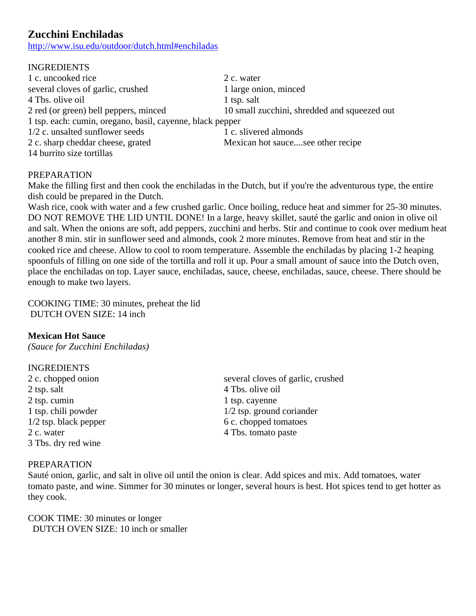## **Zucchini Enchiladas**

http://www.isu.edu/outdoor/dutch.html#enchiladas

| <b>INGREDIENTS</b>                                        |                                              |
|-----------------------------------------------------------|----------------------------------------------|
| 1 c. uncooked rice                                        | 2 c. water                                   |
| several cloves of garlic, crushed                         | 1 large onion, minced                        |
| 4 Tbs. olive oil                                          | 1 tsp. salt                                  |
| 2 red (or green) bell peppers, minced                     | 10 small zucchini, shredded and squeezed out |
| 1 tsp. each: cumin, oregano, basil, cayenne, black pepper |                                              |
| 1/2 c. unsalted sunflower seeds                           | 1 c. slivered almonds                        |
| 2 c. sharp cheddar cheese, grated                         | Mexican hot saucesee other recipe            |
| 14 burrito size tortillas                                 |                                              |

### PREPARATION

Make the filling first and then cook the enchiladas in the Dutch, but if you're the adventurous type, the entire dish could be prepared in the Dutch.

Wash rice, cook with water and a few crushed garlic. Once boiling, reduce heat and simmer for 25-30 minutes. DO NOT REMOVE THE LID UNTIL DONE! In a large, heavy skillet, sauté the garlic and onion in olive oil and salt. When the onions are soft, add peppers, zucchini and herbs. Stir and continue to cook over medium heat another 8 min. stir in sunflower seed and almonds, cook 2 more minutes. Remove from heat and stir in the cooked rice and cheese. Allow to cool to room temperature. Assemble the enchiladas by placing 1-2 heaping spoonfuls of filling on one side of the tortilla and roll it up. Pour a small amount of sauce into the Dutch oven, place the enchiladas on top. Layer sauce, enchiladas, sauce, cheese, enchiladas, sauce, cheese. There should be enough to make two layers.

COOKING TIME: 30 minutes, preheat the lid DUTCH OVEN SIZE: 14 inch

#### **Mexican Hot Sauce**

*(Sauce for Zucchini Enchiladas)*

#### INGREDIENTS

2 tsp. salt 4 Tbs. olive oil 2 tsp. cumin 1 tsp. cayenne 2 c. water 4 Tbs. tomato paste 3 Tbs. dry red wine

2 c. chopped onion several cloves of garlic, crushed 1 tsp. chili powder 1/2 tsp. ground coriander 1/2 tsp. black pepper 6 c. chopped tomatoes

#### PREPARATION

Sauté onion, garlic, and salt in olive oil until the onion is clear. Add spices and mix. Add tomatoes, water tomato paste, and wine. Simmer for 30 minutes or longer, several hours is best. Hot spices tend to get hotter as they cook.

COOK TIME: 30 minutes or longer DUTCH OVEN SIZE: 10 inch or smaller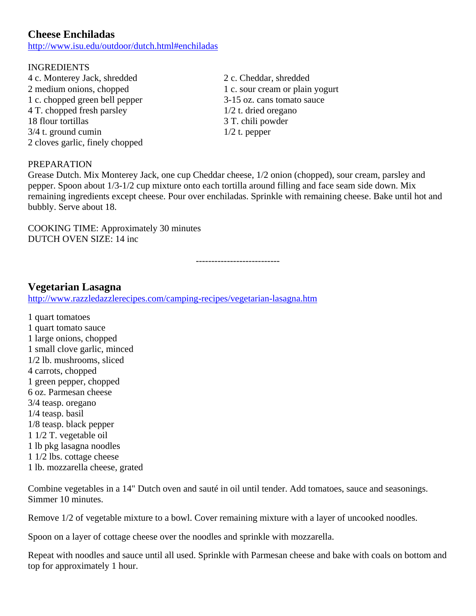## **Cheese Enchiladas**

http://www.isu.edu/outdoor/dutch.html#enchiladas

#### INGREDIENTS

- 4 c. Monterey Jack, shredded 2 c. Cheddar, shredded 2 medium onions, chopped 1 c. sour cream or plain yogurt 1 c. chopped green bell pepper 3-15 oz. cans tomato sauce 4 T. chopped fresh parsley 1/2 t. dried oregano 18 flour tortillas 3 T. chili powder  $3/4$  t. ground cumin  $1/2$  t. pepper 2 cloves garlic, finely chopped
	-

### PREPARATION

Grease Dutch. Mix Monterey Jack, one cup Cheddar cheese, 1/2 onion (chopped), sour cream, parsley and pepper. Spoon about 1/3-1/2 cup mixture onto each tortilla around filling and face seam side down. Mix remaining ingredients except cheese. Pour over enchiladas. Sprinkle with remaining cheese. Bake until hot and bubbly. Serve about 18.

COOKING TIME: Approximately 30 minutes DUTCH OVEN SIZE: 14 inc

---------------------------

### **Vegetarian Lasagna**

<http://www.razzledazzlerecipes.com/camping-recipes/vegetarian-lasagna.htm>

1 quart tomatoes 1 quart tomato sauce 1 large onions, chopped 1 small clove garlic, minced 1/2 lb. mushrooms, sliced 4 carrots, chopped 1 green pepper, chopped 6 oz. Parmesan cheese 3/4 teasp. oregano 1/4 teasp. basil 1/8 teasp. black pepper 1 1/2 T. vegetable oil 1 lb pkg lasagna noodles 1 1/2 lbs. cottage cheese 1 lb. mozzarella cheese, grated

Combine vegetables in a 14" Dutch oven and sauté in oil until tender. Add tomatoes, sauce and seasonings. Simmer 10 minutes.

Remove 1/2 of vegetable mixture to a bowl. Cover remaining mixture with a layer of uncooked noodles.

Spoon on a layer of cottage cheese over the noodles and sprinkle with mozzarella.

Repeat with noodles and sauce until all used. Sprinkle with Parmesan cheese and bake with coals on bottom and top for approximately 1 hour.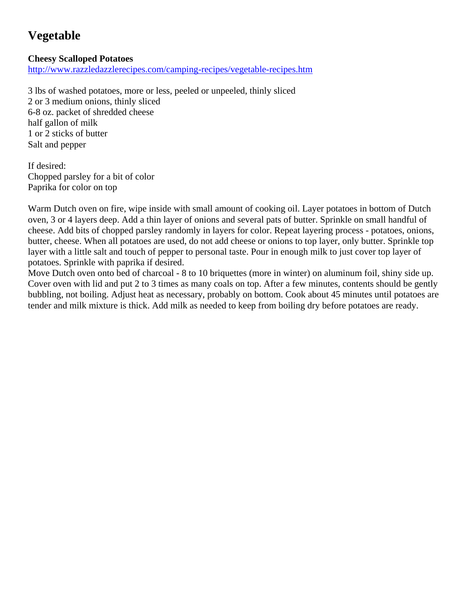# **Vegetable**

### **Cheesy Scalloped Potatoes**

<http://www.razzledazzlerecipes.com/camping-recipes/vegetable-recipes.htm>

3 lbs of washed potatoes, more or less, peeled or unpeeled, thinly sliced 2 or 3 medium onions, thinly sliced 6-8 oz. packet of shredded cheese half gallon of milk 1 or 2 sticks of butter Salt and pepper

If desired: Chopped parsley for a bit of color Paprika for color on top

Warm Dutch oven on fire, wipe inside with small amount of cooking oil. Layer potatoes in bottom of Dutch oven, 3 or 4 layers deep. Add a thin layer of onions and several pats of butter. Sprinkle on small handful of cheese. Add bits of chopped parsley randomly in layers for color. Repeat layering process - potatoes, onions, butter, cheese. When all potatoes are used, do not add cheese or onions to top layer, only butter. Sprinkle top layer with a little salt and touch of pepper to personal taste. Pour in enough milk to just cover top layer of potatoes. Sprinkle with paprika if desired.

Move Dutch oven onto bed of charcoal - 8 to 10 briquettes (more in winter) on aluminum foil, shiny side up. Cover oven with lid and put 2 to 3 times as many coals on top. After a few minutes, contents should be gently bubbling, not boiling. Adjust heat as necessary, probably on bottom. Cook about 45 minutes until potatoes are tender and milk mixture is thick. Add milk as needed to keep from boiling dry before potatoes are ready.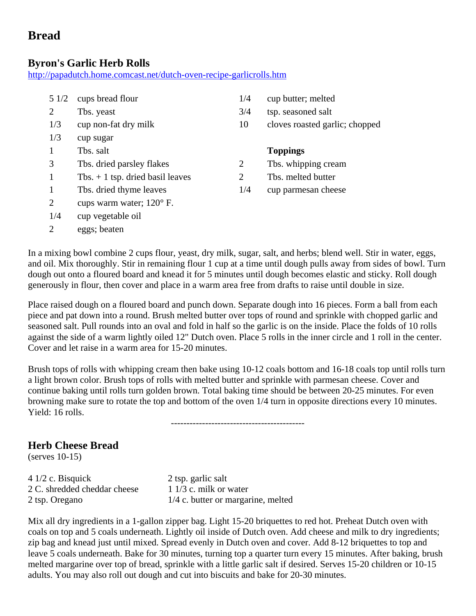# **Bread**

### **Byron's Garlic Herb Rolls**

<http://papadutch.home.comcast.net/dutch-oven-recipe-garlicrolls.htm>

| 51/2 | cups bread flour                  |
|------|-----------------------------------|
| 2    | Tbs. yeast                        |
| 1/3  | cup non-fat dry milk              |
| 1/3  | cup sugar                         |
| 1    | Ths. salt                         |
| 3    | Tbs. dried parsley flakes         |
| 1    | Tbs. $+1$ tsp. dried basil leaves |
| 1    | Tbs. dried thyme leaves           |
| 2    | cups warm water; $120^{\circ}$ F. |
| 1/4  | cup vegetable oil                 |

2 eggs; beaten

- $1/4$  cup butter; melted
- $3/4$  tsp. seasoned salt
- 10 cloves roasted garlic; chopped

#### **Toppings**

- 2 Tbs. whipping cream
- 2 Tbs. melted butter
- $1/4$  cup parmesan cheese

In a mixing bowl combine 2 cups flour, yeast, dry milk, sugar, salt, and herbs; blend well. Stir in water, eggs, and oil. Mix thoroughly. Stir in remaining flour 1 cup at a time until dough pulls away from sides of bowl. Turn dough out onto a floured board and knead it for 5 minutes until dough becomes elastic and sticky. Roll dough generously in flour, then cover and place in a warm area free from drafts to raise until double in size.

Place raised dough on a floured board and punch down. Separate dough into 16 pieces. Form a ball from each piece and pat down into a round. Brush melted butter over tops of round and sprinkle with chopped garlic and seasoned salt. Pull rounds into an oval and fold in half so the garlic is on the inside. Place the folds of 10 rolls against the side of a warm lightly oiled 12" Dutch oven. Place 5 rolls in the inner circle and 1 roll in the center. Cover and let raise in a warm area for 15-20 minutes.

Brush tops of rolls with whipping cream then bake using 10-12 coals bottom and 16-18 coals top until rolls turn a light brown color. Brush tops of rolls with melted butter and sprinkle with parmesan cheese. Cover and continue baking until rolls turn golden brown. Total baking time should be between 20-25 minutes. For even browning make sure to rotate the top and bottom of the oven 1/4 turn in opposite directions every 10 minutes. Yield: 16 rolls.

-------------------------------------------

## **Herb Cheese Bread**

(serves 10-15)

4 1/2 c. Bisquick 2 tsp. garlic salt 2 C. shredded cheddar cheese 1 1/3 c. milk or water

2 tsp. Oregano 1/4 c. butter or margarine, melted

Mix all dry ingredients in a 1-gallon zipper bag. Light 15-20 briquettes to red hot. Preheat Dutch oven with coals on top and 5 coals underneath. Lightly oil inside of Dutch oven. Add cheese and milk to dry ingredients; zip bag and knead just until mixed. Spread evenly in Dutch oven and cover. Add 8-12 briquettes to top and leave 5 coals underneath. Bake for 30 minutes, turning top a quarter turn every 15 minutes. After baking, brush melted margarine over top of bread, sprinkle with a little garlic salt if desired. Serves 15-20 children or 10-15 adults. You may also roll out dough and cut into biscuits and bake for 20-30 minutes.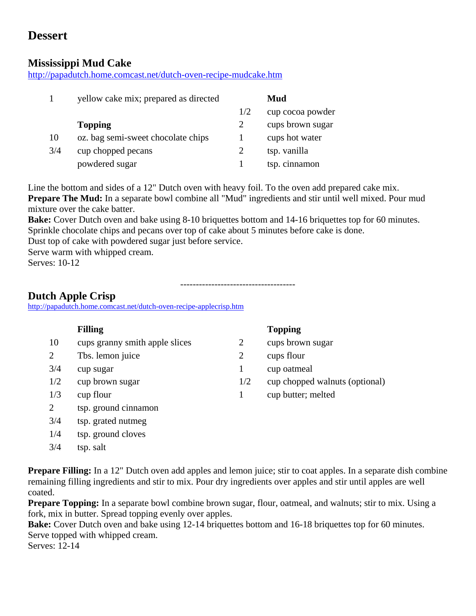# **Dessert**

### **Mississippi Mud Cake**

<http://papadutch.home.comcast.net/dutch-oven-recipe-mudcake.htm>

|     | yellow cake mix; prepared as directed |     | Mud              |
|-----|---------------------------------------|-----|------------------|
|     |                                       | 1/2 | cup cocoa powder |
|     | <b>Topping</b>                        | 2   | cups brown sugar |
| 10  | oz. bag semi-sweet chocolate chips    |     | cups hot water   |
| 3/4 | cup chopped pecans                    |     | tsp. vanilla     |
|     | powdered sugar                        |     | tsp. cinnamon    |

Line the bottom and sides of a 12" Dutch oven with heavy foil. To the oven add prepared cake mix. **Prepare The Mud:** In a separate bowl combine all "Mud" ingredients and stir until well mixed. Pour mud mixture over the cake batter.

**Bake:** Cover Dutch oven and bake using 8-10 briquettes bottom and 14-16 briquettes top for 60 minutes. Sprinkle chocolate chips and pecans over top of cake about 5 minutes before cake is done.

-------------------------------------

Dust top of cake with powdered sugar just before service.

Serve warm with whipped cream.

3/4 tsp. grated nutmeg 1/4 tsp. ground cloves

3/4 tsp. salt

Serves: 10-12

### **Dutch Apple Crisp**

<http://papadutch.home.comcast.net/dutch-oven-recipe-applecrisp.htm>

|     | <b>Filling</b>                 |     | <b>Topping</b>                 |
|-----|--------------------------------|-----|--------------------------------|
| 10  | cups granny smith apple slices | 2   | cups brown sugar               |
| 2   | Tbs. lemon juice               |     | cups flour                     |
| 3/4 | cup sugar                      |     | cup oatmeal                    |
| 1/2 | cup brown sugar                | 1/2 | cup chopped walnuts (optional) |
| 1/3 | cup flour                      |     | cup butter; melted             |
| 2   | tsp. ground cinnamon           |     |                                |

**Prepare Filling:** In a 12" Dutch oven add apples and lemon juice; stir to coat apples. In a separate dish combine remaining filling ingredients and stir to mix. Pour dry ingredients over apples and stir until apples are well coated.

**Prepare Topping:** In a separate bowl combine brown sugar, flour, oatmeal, and walnuts; stir to mix. Using a fork, mix in butter. Spread topping evenly over apples.

**Bake:** Cover Dutch oven and bake using 12-14 briquettes bottom and 16-18 briquettes top for 60 minutes. Serve topped with whipped cream.

Serves: 12-14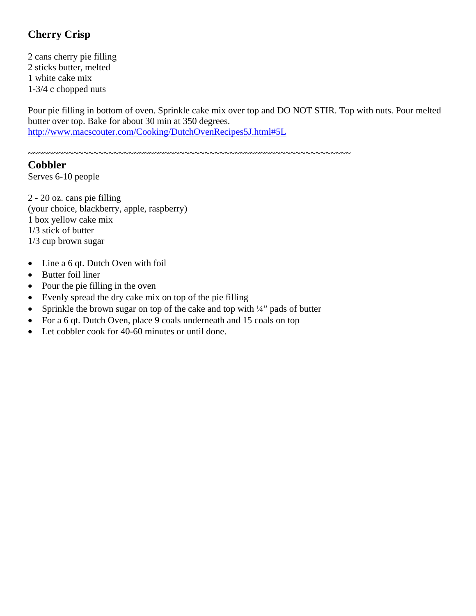# **Cherry Crisp**

2 cans cherry pie filling 2 sticks butter, melted 1 white cake mix 1-3/4 c chopped nuts

Pour pie filling in bottom of oven. Sprinkle cake mix over top and DO NOT STIR. Top with nuts. Pour melted butter over top. Bake for about 30 min at 350 degrees. http://www.macscouter.com/Cooking/DutchOvenRecipes5J.html#5L

~~~~~~~~~~~~~~~~~~~~~~~~~~~~~~~~~~~~~~~~~~~~~~~~~~~~~~~~~~~~~~~~

### **Cobbler**

Serves 6-10 people

2 - 20 oz. cans pie filling (your choice, blackberry, apple, raspberry) 1 box yellow cake mix 1/3 stick of butter 1/3 cup brown sugar

- Line a 6 qt. Dutch Oven with foil
- Butter foil liner
- Pour the pie filling in the oven
- Evenly spread the dry cake mix on top of the pie filling
- Sprinkle the brown sugar on top of the cake and top with  $\frac{1}{4}$  pads of butter
- For a 6 qt. Dutch Oven, place 9 coals underneath and 15 coals on top
- Let cobbler cook for 40-60 minutes or until done.